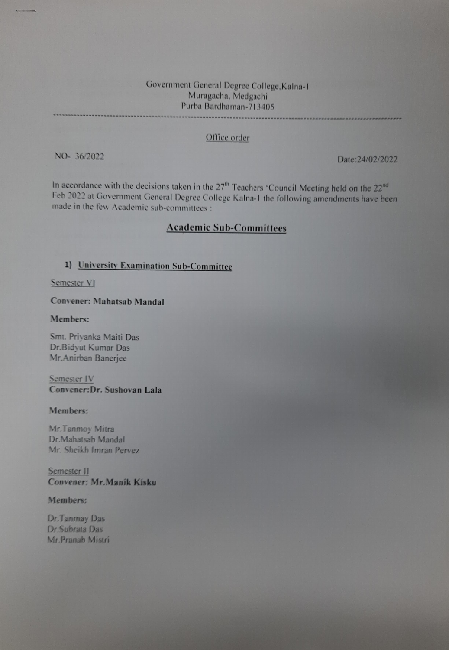# Government General Degree College,Kalna-1 Muragacha, Medgachi Purba Bardhaman-713405

## Office order

NO- 36/2022 Date:24/02/2022

In accordance with the decisions taken in the  $27<sup>th</sup>$  Teachers 'Council Meeting held on the  $22<sup>nd</sup>$ Feb 2022 at Government General Degree College Kalna-I the following amendments have been made in the few Academic sub-committees

## Academic Sub-Committees

## 1) University Examination Sub-Committee

Semester V

## Convener: Mahatsab Mandal

### Members:

Smt. Priyanka Maiti Das Dr.Bidyut Kumar Das Mr.Anirban Banerjee

Semester IV Convener:Dr. Sushovan Lala

## Members:

Mr.Tanmoy Mitra Dr.Mahatsab Mandal Mr. Sheikh Imran Pervez

Semester II Convener: Mr.Manik Kisku

### Members:

Dr.Tanmay Das Dr.Subrata Das Mr.Pranab Mistrí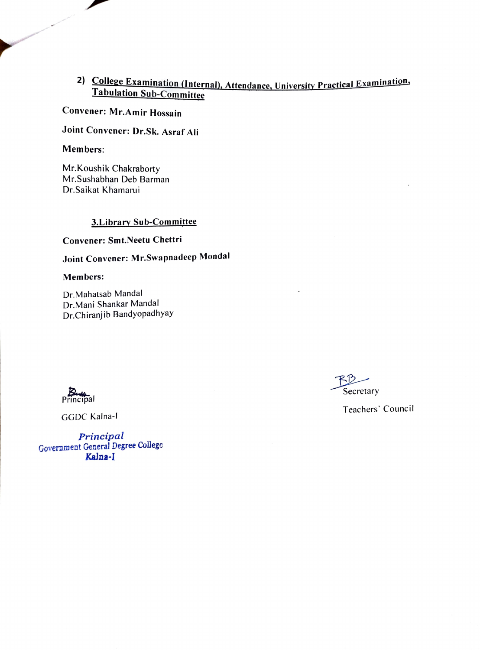## 2) College Examination (Internal), Attendance, University Practical Examination, Tabulation Sub-Committee

## Convener: Mr.Amir Hossain

Joint Convener: Dr.Sk. Asraf Ali

## Members:

Mr.Koushik Chakraborty Mr.Sushabhan Deb Barman Dr.Saikat Khamarui

## 3.Library Sub-Committee

Convener: Smt.Neetu Chettri

Joint Convener: Mr.Swapnadeep Mondal

### Members:

Dr.Mahatsab Mandal Dr.Mani Shankar Mandal Dr.Chiranjib Bandyopadhyay



GGDC Kalna-l

Principal Government General Degree College Kalna-I

**Secretary** 

Teachers' Council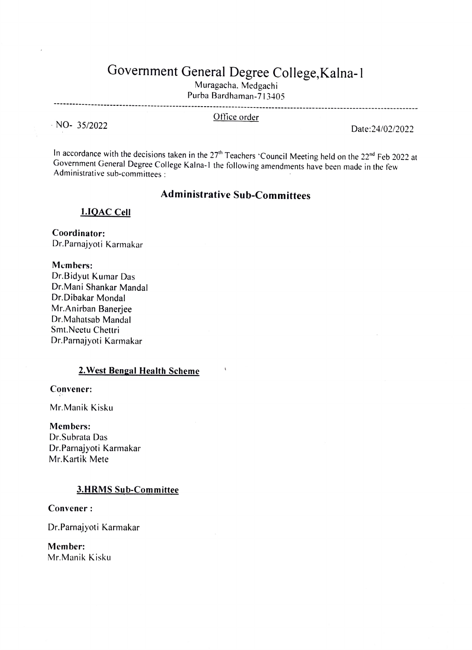## Government General Degree College, Kalna-1

Muragacha. Medgachi

Purba Bardhaman-713405

Office order<br>
Office order Date:24/02/2022

In accordance with the decisions taken in the 27<sup>th</sup> Teachers 'Council Meeting held on the 22<sup>nd</sup> Feb 2022 at Government General Degree College Kalna-I the following amendments have been made in the few Administrative sub-committees :

## Administrative Sub-Committees

1.19AC Cell

Coordinator: Dr.Parnajyoti Karmakar

Members:

Dr.Bidyut Kumar Das Dr.Mani Shankar Mandal Dr.Dibakar Mondal Mr.Anirban Banerjee Dr.Mahatsab Mandal Smt.Neetu Chettri Dr.Parnajyoti Karmakar

## 2.West Bengal Health Scheme

Convencr:

Mr.Manik Kisku

Members:

Dr.Subrata Das Dr.Parnajyoti Karmakar Mr.Kartik Mete

## 3.HRMS Sub-Committee

Convener:

Dr.Parnajyoti Karmakar

Member: Mr.Manik Kisku